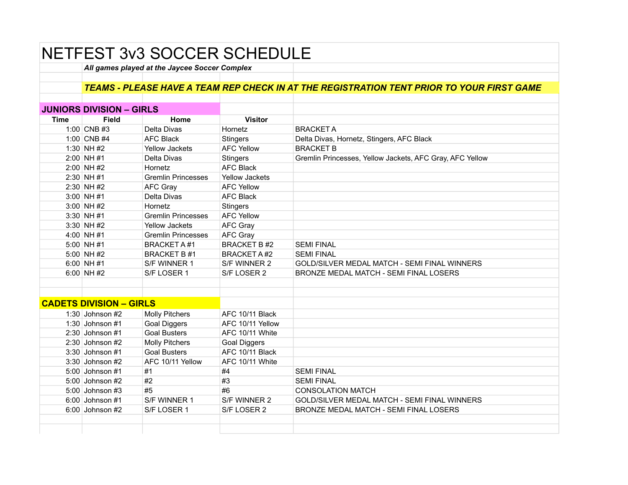## NETFEST 3v3 SOCCER SCHEDULE

*All games played at the Jaycee Soccer Complex*

## *TEAMS - PLEASE HAVE A TEAM REP CHECK IN AT THE REGISTRATION TENT PRIOR TO YOUR FIRST GAME*

|                                | <b>JUNIORS DIVISION - GIRLS</b> |                           |                       |                                                          |
|--------------------------------|---------------------------------|---------------------------|-----------------------|----------------------------------------------------------|
| Time                           | <b>Field</b>                    | Home                      | <b>Visitor</b>        |                                                          |
|                                | 1:00 CNB #3                     | Delta Divas               | Hornetz               | <b>BRACKET A</b>                                         |
|                                | 1:00 CNB #4                     | <b>AFC Black</b>          | <b>Stingers</b>       | Delta Divas, Hornetz, Stingers, AFC Black                |
|                                | 1:30 NH #2                      | <b>Yellow Jackets</b>     | <b>AFC Yellow</b>     | <b>BRACKET B</b>                                         |
|                                | $2:00$ NH #1                    | Delta Divas               | <b>Stingers</b>       | Gremlin Princesses, Yellow Jackets, AFC Gray, AFC Yellow |
|                                | $2:00$ NH#2                     | Hornetz                   | <b>AFC Black</b>      |                                                          |
|                                | $2:30$ NH #1                    | <b>Gremlin Princesses</b> | <b>Yellow Jackets</b> |                                                          |
|                                | $2:30$ NH #2                    | AFC Gray                  | <b>AFC Yellow</b>     |                                                          |
|                                | $3:00$ NH #1                    | Delta Divas               | <b>AFC Black</b>      |                                                          |
|                                | $3:00$ NH #2                    | Hornetz                   | <b>Stingers</b>       |                                                          |
|                                | $3:30$ NH #1                    | <b>Gremlin Princesses</b> | <b>AFC Yellow</b>     |                                                          |
|                                | 3:30 NH #2                      | <b>Yellow Jackets</b>     | AFC Gray              |                                                          |
|                                | 4:00 NH #1                      | <b>Gremlin Princesses</b> | <b>AFC Gray</b>       |                                                          |
|                                | $5:00$ NH #1                    | BRACKET A#1               | <b>BRACKET B#2</b>    | <b>SEMI FINAL</b>                                        |
|                                | 5:00 NH #2                      | <b>BRACKET B#1</b>        | <b>BRACKET A#2</b>    | <b>SEMI FINAL</b>                                        |
|                                | $6:00$ NH #1                    | S/F WINNER 1              | S/F WINNER 2          | GOLD/SILVER MEDAL MATCH - SEMI FINAL WINNERS             |
|                                | 6:00 NH#2                       | S/F LOSER 1               | S/F LOSER 2           | BRONZE MEDAL MATCH - SEMI FINAL LOSERS                   |
|                                |                                 |                           |                       |                                                          |
|                                |                                 |                           |                       |                                                          |
| <b>CADETS DIVISION - GIRLS</b> |                                 |                           |                       |                                                          |
|                                | 1:30 Johnson $#2$               | <b>Molly Pitchers</b>     | AFC 10/11 Black       |                                                          |
|                                | 1:30 Johnson $#1$               | <b>Goal Diggers</b>       | AFC 10/11 Yellow      |                                                          |
|                                | $2:30$ Johnson #1               | <b>Goal Busters</b>       | AFC 10/11 White       |                                                          |
|                                | $2:30$ Johnson #2               | <b>Molly Pitchers</b>     | <b>Goal Diggers</b>   |                                                          |
|                                | $3:30$ Johnson #1               | <b>Goal Busters</b>       | AFC 10/11 Black       |                                                          |
|                                | 3:30 Johnson #2                 | AFC 10/11 Yellow          | AFC 10/11 White       |                                                          |
|                                | 5:00 Johnson #1                 | #1                        | #4                    | <b>SEMI FINAL</b>                                        |
|                                | 5:00 Johnson #2                 | #2                        | #3                    | <b>SEMI FINAL</b>                                        |
|                                | 5:00 Johnson #3                 | #5                        | #6                    | <b>CONSOLATION MATCH</b>                                 |
|                                | $6:00$ Johnson #1               | S/F WINNER 1              | S/F WINNER 2          | GOLD/SILVER MEDAL MATCH - SEMI FINAL WINNERS             |
|                                | $6:00$ Johnson #2               | S/F LOSER 1               | S/F LOSER 2           | BRONZE MEDAL MATCH - SEMI FINAL LOSERS                   |
|                                |                                 |                           |                       |                                                          |
|                                |                                 |                           |                       |                                                          |